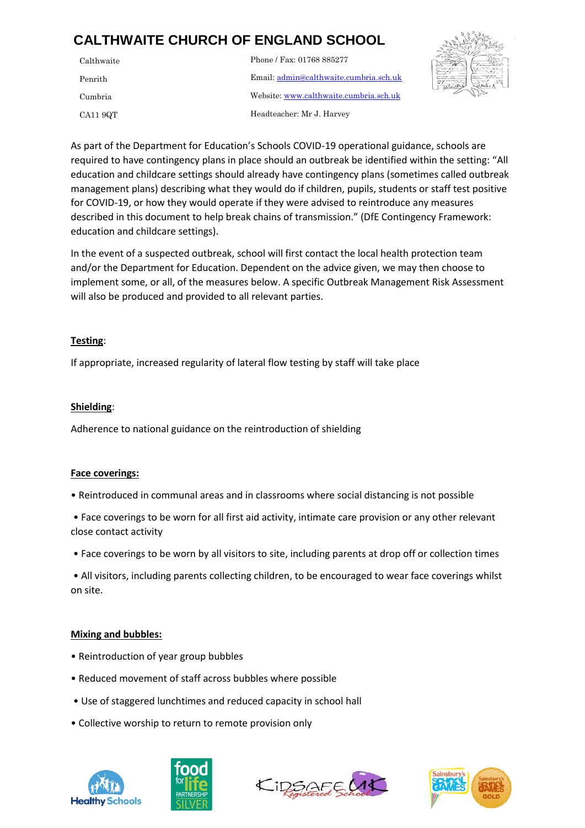# **CALTHWAITE CHURCH OF ENGLAND SCHOOL**

| Calthwaite | Phone / Fax: 01768 885277              |
|------------|----------------------------------------|
| Penrith    | Email: admin@calthwaite.cumbria.sch.uk |
| Cumbria    | Website: www.calthwaite.cumbria.sch.uk |
| CA11 9QT   | Headteacher: Mr J. Harvey              |



education and childcare settings should already have contingency plans (sometimes called outbreak management plans) describing what they would do if children, pupils, students or staff test positive described in this document to help break chains of transmission." (DfE Contingency Framework: As part of the Department for Education's Schools COVID-19 operational guidance, schools are required to have contingency plans in place should an outbreak be identified within the setting: "All for COVID-19, or how they would operate if they were advised to reintroduce any measures education and childcare settings).

In the event of a suspected outbreak, school will first contact the local health protection team and/or the Department for Education. Dependent on the advice given, we may then choose to implement some, or all, of the measures below. A specific Outbreak Management Risk Assessment will also be produced and provided to all relevant parties.

## **Testing**:

If appropriate, increased regularity of lateral flow testing by staff will take place

# **Shielding**:

Adherence to national guidance on the reintroduction of shielding

## **Face coverings:**

• Reintroduced in communal areas and in classrooms where social distancing is not possible

• Face coverings to be worn for all first aid activity, intimate care provision or any other relevant close contact activity

• Face coverings to be worn by all visitors to site, including parents at drop off or collection times

• All visitors, including parents collecting children, to be encouraged to wear face coverings whilst on site.

## **Mixing and bubbles:**

- Reintroduction of year group bubbles
- Reduced movement of staff across bubbles where possible
- Use of staggered lunchtimes and reduced capacity in school hall
- Collective worship to return to remote provision only